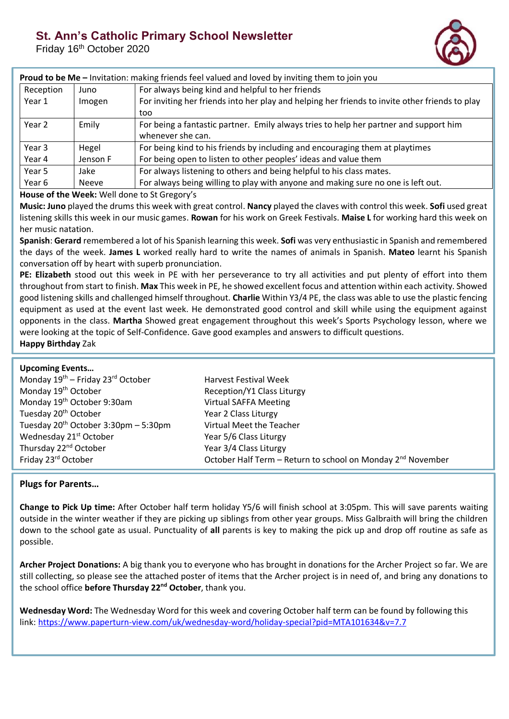## **St. Ann's Catholic Primary School Newsletter**

Friday 16<sup>th</sup> October 2020



| Proud to be Me - Invitation: making friends feel valued and loved by inviting them to join you |              |                                                                                                |  |
|------------------------------------------------------------------------------------------------|--------------|------------------------------------------------------------------------------------------------|--|
| Reception                                                                                      | Juno         | For always being kind and helpful to her friends                                               |  |
| Year 1                                                                                         | Imogen       | For inviting her friends into her play and helping her friends to invite other friends to play |  |
|                                                                                                |              | too                                                                                            |  |
| Year 2                                                                                         | Emily        | For being a fantastic partner. Emily always tries to help her partner and support him          |  |
|                                                                                                |              | whenever she can.                                                                              |  |
| Year 3                                                                                         | Hegel        | For being kind to his friends by including and encouraging them at playtimes                   |  |
| Year 4                                                                                         | Jenson F     | For being open to listen to other peoples' ideas and value them                                |  |
| Year 5                                                                                         | Jake         | For always listening to others and being helpful to his class mates.                           |  |
| Year 6                                                                                         | <b>Neeve</b> | For always being willing to play with anyone and making sure no one is left out.               |  |

## **House of the Week:** Well done to St Gregory's

**Music: Juno** played the drums this week with great control. **Nancy** played the claves with control this week. **Sofi** used great listening skills this week in our music games. **Rowan** for his work on Greek Festivals. **Maise L** for working hard this week on her music natation.

**Spanish**: **Gerard** remembered a lot of his Spanish learning this week. **Sofi** was very enthusiastic in Spanish and remembered the days of the week. **James L** worked really hard to write the names of animals in Spanish. **Mateo** learnt his Spanish conversation off by heart with superb pronunciation.

**PE: Elizabeth** stood out this week in PE with her perseverance to try all activities and put plenty of effort into them throughout from start to finish. **Max** This week in PE, he showed excellent focus and attention within each activity. Showed good listening skills and challenged himself throughout. **Charlie** Within Y3/4 PE, the class was able to use the plastic fencing equipment as used at the event last week. He demonstrated good control and skill while using the equipment against opponents in the class. **Martha** Showed great engagement throughout this week's Sports Psychology lesson, where we were looking at the topic of Self-Confidence. Gave good examples and answers to difficult questions. **Happy Birthday** Zak

| <b>Upcoming Events</b>                                    |                                                                         |
|-----------------------------------------------------------|-------------------------------------------------------------------------|
| Monday 19 <sup>th</sup> – Friday 23 <sup>rd</sup> October | <b>Harvest Festival Week</b>                                            |
| Monday 19 <sup>th</sup> October                           | Reception/Y1 Class Liturgy                                              |
| Monday 19 <sup>th</sup> October 9:30am                    | <b>Virtual SAFFA Meeting</b>                                            |
| Tuesday 20 <sup>th</sup> October                          | Year 2 Class Liturgy                                                    |
| Tuesday $20^{th}$ October 3:30pm - 5:30pm                 | Virtual Meet the Teacher                                                |
| Wednesday 21 <sup>st</sup> October                        | Year 5/6 Class Liturgy                                                  |
| Thursday 22 <sup>nd</sup> October                         | Year 3/4 Class Liturgy                                                  |
| Friday 23rd October                                       | October Half Term - Return to school on Monday 2 <sup>nd</sup> November |

## **Plugs for Parents…**

**Change to Pick Up time:** After October half term holiday Y5/6 will finish school at 3:05pm. This will save parents waiting outside in the winter weather if they are picking up siblings from other year groups. Miss Galbraith will bring the children down to the school gate as usual. Punctuality of **all** parents is key to making the pick up and drop off routine as safe as possible.

**Archer Project Donations:** A big thank you to everyone who has brought in donations for the Archer Project so far. We are still collecting, so please see the attached poster of items that the Archer project is in need of, and bring any donations to the school office **before Thursday 22nd October**, thank you.

**Wednesday Word:** The Wednesday Word for this week and covering October half term can be found by following this link: <https://www.paperturn-view.com/uk/wednesday-word/holiday-special?pid=MTA101634&v=7.7>